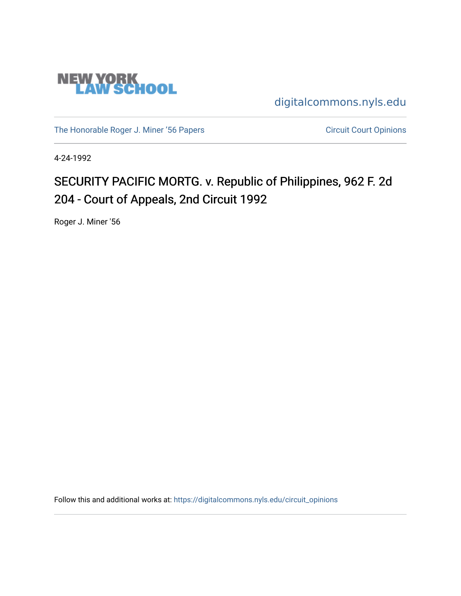

[digitalcommons.nyls.edu](https://digitalcommons.nyls.edu/) 

[The Honorable Roger J. Miner '56 Papers](https://digitalcommons.nyls.edu/miner_papers) Circuit Court Opinions

4-24-1992

# SECURITY PACIFIC MORTG. v. Republic of Philippines, 962 F. 2d 204 - Court of Appeals, 2nd Circuit 1992

Roger J. Miner '56

Follow this and additional works at: [https://digitalcommons.nyls.edu/circuit\\_opinions](https://digitalcommons.nyls.edu/circuit_opinions?utm_source=digitalcommons.nyls.edu%2Fcircuit_opinions%2F353&utm_medium=PDF&utm_campaign=PDFCoverPages)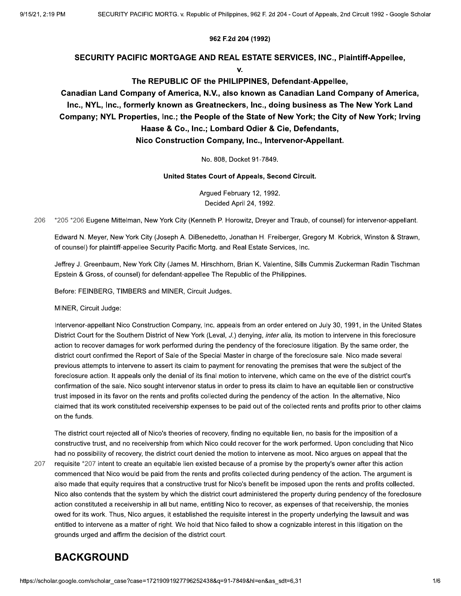#### 962 F.2d 204 (1992)

#### SECURITY PACIFIC MORTGAGE AND REAL ESTATE SERVICES, INC., Plaintiff-Appellee,

v.

#### The REPUBLIC OF the PHILIPPINES, Defendant-Appellee,

#### Canadian Land Company of America, N.V., also known as Canadian Land Company of America, Inc., NYL, Inc., formerly known as Greatneckers, Inc., doing business as The New York Land Company; NYL Properties, Inc.; the People of the State of New York; the City of New York; Irving Haase & Co., Inc.; Lombard Odier & Cie, Defendants, Nico Construction Company, Inc., Intervenor-Appellant.

No. 808. Docket 91-7849.

United States Court of Appeals, Second Circuit.

Argued February 12, 1992. Decided April 24, 1992.

206 \*205 \*206 Eugene Mittelman, New York City (Kenneth P. Horowitz, Dreyer and Traub, of counsel) for intervenor-appellant.

Edward N. Meyer, New York City (Joseph A. DiBenedetto, Jonathan H. Freiberger, Gregory M. Kobrick, Winston & Strawn, of counsel) for plaintiff-appellee Security Pacific Mortg. and Real Estate Services, Inc.

Jeffrey J. Greenbaum, New York City (James M. Hirschhorn, Brian K. Valentine, Sills Cummis Zuckerman Radin Tischman Epstein & Gross, of counsel) for defendant-appellee The Republic of the Philippines.

Before: FEINBERG, TIMBERS and MINER, Circuit Judges.

MINER. Circuit Judge:

Intervenor-appellant Nico Construction Company, Inc. appeals from an order entered on July 30, 1991, in the United States District Court for the Southern District of New York (Leval, J.) denying, inter alia, its motion to intervene in this foreclosure action to recover damages for work performed during the pendency of the foreclosure litigation. By the same order, the district court confirmed the Report of Sale of the Special Master in charge of the foreclosure sale. Nico made several previous attempts to intervene to assert its claim to payment for renovating the premises that were the subject of the foreclosure action. It appeals only the denial of its final motion to intervene, which came on the eve of the district court's confirmation of the sale. Nico sought intervenor status in order to press its claim to have an equitable lien or constructive trust imposed in its favor on the rents and profits collected during the pendency of the action. In the alternative, Nico claimed that its work constituted receivership expenses to be paid out of the collected rents and profits prior to other claims on the funds.

The district court rejected all of Nico's theories of recovery, finding no equitable lien, no basis for the imposition of a constructive trust, and no receivership from which Nico could recover for the work performed. Upon concluding that Nico had no possibility of recovery, the district court denied the motion to intervene as moot. Nico argues on appeal that the

207

requisite \*207 intent to create an equitable lien existed because of a promise by the property's owner after this action commenced that Nico would be paid from the rents and profits collected during pendency of the action. The argument is also made that equity requires that a constructive trust for Nico's benefit be imposed upon the rents and profits collected. Nico also contends that the system by which the district court administered the property during pendency of the foreclosure action constituted a receivership in all but name, entitling Nico to recover, as expenses of that receivership, the monies owed for its work. Thus, Nico argues, it established the requisite interest in the property underlying the lawsuit and was entitled to intervene as a matter of right. We hold that Nico failed to show a cognizable interest in this litigation on the grounds urged and affirm the decision of the district court.

#### **BACKGROUND**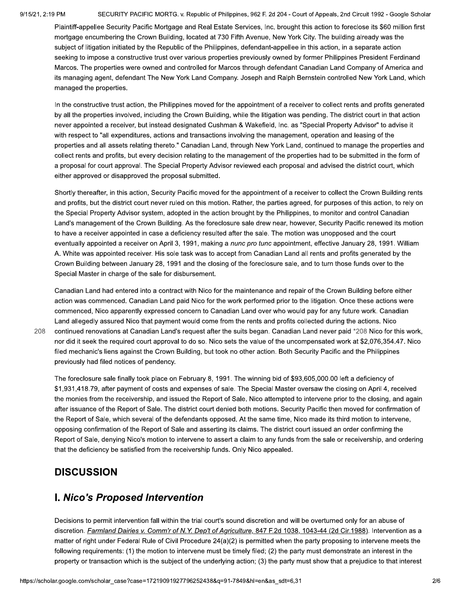208

SECURITY PACIFIC MORTG. v. Republic of Philippines, 962 F. 2d 204 - Court of Appeals, 2nd Circuit 1992 - Google Scholar

Plaintiff-appellee Security Pacific Mortgage and Real Estate Services, Inc. brought this action to foreclose its \$60 million first mortgage encumbering the Crown Building, located at 730 Fifth Avenue, New York City. The building already was the subject of litigation initiated by the Republic of the Philippines, defendant-appellee in this action, in a separate action seeking to impose a constructive trust over various properties previously owned by former Philippines President Ferdinand Marcos. The properties were owned and controlled for Marcos through defendant Canadian Land Company of America and its managing agent, defendant The New York Land Company. Joseph and Ralph Bernstein controlled New York Land, which managed the properties.

In the constructive trust action, the Philippines moved for the appointment of a receiver to collect rents and profits generated by all the properties involved, including the Crown Building, while the litigation was pending. The district court in that action never appointed a receiver, but instead designated Cushman & Wakefield, Inc. as "Special Property Advisor" to advise it with respect to "all expenditures, actions and transactions involving the management, operation and leasing of the properties and all assets relating thereto." Canadian Land, through New York Land, continued to manage the properties and collect rents and profits, but every decision relating to the management of the properties had to be submitted in the form of a proposal for court approval. The Special Property Advisor reviewed each proposal and advised the district court, which either approved or disapproved the proposal submitted.

Shortly thereafter, in this action, Security Pacific moved for the appointment of a receiver to collect the Crown Building rents and profits, but the district court never ruled on this motion. Rather, the parties agreed, for purposes of this action, to rely on the Special Property Advisor system, adopted in the action brought by the Philippines, to monitor and control Canadian Land's management of the Crown Building. As the foreclosure sale drew near, however, Security Pacific renewed its motion to have a receiver appointed in case a deficiency resulted after the sale. The motion was unopposed and the court eventually appointed a receiver on April 3, 1991, making a nunc pro tunc appointment, effective January 28, 1991. William A. White was appointed receiver. His sole task was to accept from Canadian Land all rents and profits generated by the Crown Building between January 28, 1991 and the closing of the foreclosure sale, and to turn those funds over to the Special Master in charge of the sale for disbursement.

Canadian Land had entered into a contract with Nico for the maintenance and repair of the Crown Building before either action was commenced. Canadian Land paid Nico for the work performed prior to the litigation. Once these actions were commenced, Nico apparently expressed concern to Canadian Land over who would pay for any future work. Canadian Land allegedly assured Nico that payment would come from the rents and profits collected during the actions. Nico continued renovations at Canadian Land's request after the suits began. Canadian Land never paid \*208 Nico for this work, nor did it seek the required court approval to do so. Nico sets the value of the uncompensated work at \$2,076,354.47. Nico filed mechanic's liens against the Crown Building, but took no other action. Both Security Pacific and the Philippines previously had filed notices of pendency.

The foreclosure sale finally took place on February 8, 1991. The winning bid of \$93,605,000.00 left a deficiency of \$1,931,418.79, after payment of costs and expenses of sale. The Special Master oversaw the closing on April 4, received the monies from the receivership, and issued the Report of Sale. Nico attempted to intervene prior to the closing, and again after issuance of the Report of Sale. The district court denied both motions. Security Pacific then moved for confirmation of the Report of Sale, which several of the defendants opposed. At the same time, Nico made its third motion to intervene, opposing confirmation of the Report of Sale and asserting its claims. The district court issued an order confirming the Report of Sale, denying Nico's motion to intervene to assert a claim to any funds from the sale or receivership, and ordering that the deficiency be satisfied from the receivership funds. Only Nico appealed.

#### **DISCUSSION**

### **I. Nico's Proposed Intervention**

Decisions to permit intervention fall within the trial court's sound discretion and will be overturned only for an abuse of discretion. Farmland Dairies v. Comm'r of N.Y. Dep't of Agriculture, 847 F.2d 1038, 1043-44 (2d Cir.1988). Intervention as a matter of right under Federal Rule of Civil Procedure 24(a)(2) is permitted when the party proposing to intervene meets the following requirements: (1) the motion to intervene must be timely filed; (2) the party must demonstrate an interest in the property or transaction which is the subject of the underlying action; (3) the party must show that a prejudice to that interest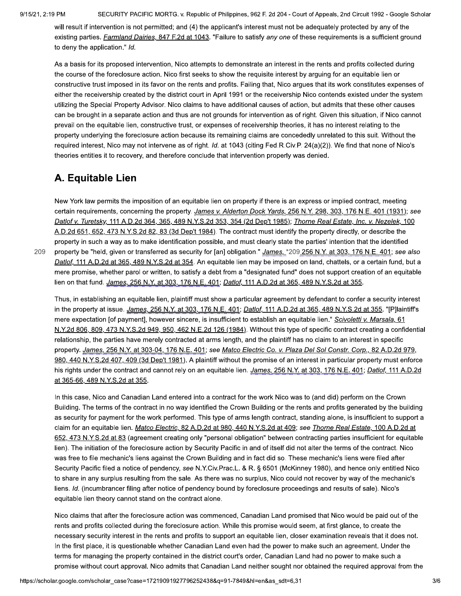209

SECURITY PACIFIC MORTG. v. Republic of Philippines, 962 F. 2d 204 - Court of Appeals, 2nd Circuit 1992 - Google Scholar

will result if intervention is not permitted; and (4) the applicant's interest must not be adequately protected by any of the existing parties. Farmland Dairies, 847 F.2d at 1043. "Failure to satisfy any one of these requirements is a sufficient ground to deny the application." Id.

As a basis for its proposed intervention, Nico attempts to demonstrate an interest in the rents and profits collected during the course of the foreclosure action. Nico first seeks to show the requisite interest by arguing for an equitable lien or constructive trust imposed in its favor on the rents and profits. Failing that, Nico argues that its work constitutes expenses of either the receivership created by the district court in April 1991 or the receivership Nico contends existed under the system utilizing the Special Property Advisor. Nico claims to have additional causes of action, but admits that these other causes can be brought in a separate action and thus are not grounds for intervention as of right. Given this situation, if Nico cannot prevail on the equitable lien, constructive trust, or expenses of receivership theories, it has no interest relating to the property underlying the foreclosure action because its remaining claims are concededly unrelated to this suit. Without the required interest, Nico may not intervene as of right. Id. at 1043 (citing Fed.R.Civ.P. 24(a)(2)). We find that none of Nico's theories entitles it to recovery, and therefore conclude that intervention properly was denied.

### A. Equitable Lien

New York law permits the imposition of an equitable lien on property if there is an express or implied contract, meeting certain requirements, concerning the property. James v. Alderton Dock Yards, 256 N.Y. 298, 303, 176 N.E. 401 (1931); see Datlof v. Turetsky, 111 A.D.2d 364, 365, 489 N.Y.S.2d 353, 354 (2d Dep't 1985); Thorne Real Estate, Inc. v. Nezelek, 100 A.D.2d 651, 652, 473 N.Y.S.2d 82, 83 (3d Dep't 1984). The contract must identify the property directly, or describe the property in such a way as to make identification possible, and must clearly state the parties' intention that the identified property be "held, given or transferred as security for [an] obligation." James, \*209 256 N.Y. at 303, 176 N.E. 401; see also Datlof, 111 A.D.2d at 365, 489 N.Y.S.2d at 354. An equitable lien may be imposed on land, chattels, or a certain fund, but a mere promise, whether parol or written, to satisfy a debt from a "designated fund" does not support creation of an equitable lien on that fund. James, 256 N.Y. at 303, 176 N.E. 401; Datlof, 111 A.D.2d at 365, 489 N.Y.S.2d at 355.

Thus, in establishing an equitable lien, plaintiff must show a particular agreement by defendant to confer a security interest in the property at issue. James, 256 N.Y. at 303, 176 N.E. 401; Datlof, 111 A.D.2d at 365, 489 N.Y.S.2d at 355. "[P]laintiff's mere expectation [of payment], however sincere, is insufficient to establish an equitable lien." Scivoletti v. Marsala, 61 N.Y.2d 806, 809, 473 N.Y.S.2d 949, 950, 462 N.E.2d 126 (1984). Without this type of specific contract creating a confidential relationship, the parties have merely contracted at arms length, and the plaintiff has no claim to an interest in specific property. James, 256 N.Y. at 303-04, 176 N.E. 401; see Matco Electric Co. v. Plaza Del Sol Constr. Corp., 82 A.D.2d 979, 980, 440 N.Y.S.2d 407, 409 (3d Dep't 1981). A plaintiff without the promise of an interest in particular property must enforce his rights under the contract and cannot rely on an equitable lien. James, 256 N.Y. at 303, 176 N.E. 401; Datlof, 111 A.D.2d at 365-66, 489 N.Y.S.2d at 355.

In this case, Nico and Canadian Land entered into a contract for the work Nico was to (and did) perform on the Crown Building. The terms of the contract in no way identified the Crown Building or the rents and profits generated by the building as security for payment for the work performed. This type of arms length contract, standing alone, is insufficient to support a claim for an equitable lien. Matco Electric, 82 A.D.2d at 980, 440 N.Y.S.2d at 409; see Thorne Real Estate, 100 A.D.2d at 652, 473 N.Y.S.2d at 83 (agreement creating only "personal obligation" between contracting parties insufficient for equitable lien). The initiation of the foreclosure action by Security Pacific in and of itself did not alter the terms of the contract. Nico was free to file mechanic's liens against the Crown Building and in fact did so. These mechanic's liens were filed after Security Pacific filed a notice of pendency, see N.Y.Civ.Prac.L. & R. § 6501 (McKinney 1980), and hence only entitled Nico to share in any surplus resulting from the sale. As there was no surplus, Nico could not recover by way of the mechanic's liens. Id. (incumbrancer filing after notice of pendency bound by foreclosure proceedings and results of sale). Nico's equitable lien theory cannot stand on the contract alone.

Nico claims that after the foreclosure action was commenced, Canadian Land promised that Nico would be paid out of the rents and profits collected during the foreclosure action. While this promise would seem, at first glance, to create the necessary security interest in the rents and profits to support an equitable lien, closer examination reveals that it does not. In the first place, it is questionable whether Canadian Land even had the power to make such an agreement. Under the terms for managing the property contained in the district court's order, Canadian Land had no power to make such a promise without court approval. Nico admits that Canadian Land neither sought nor obtained the required approval from the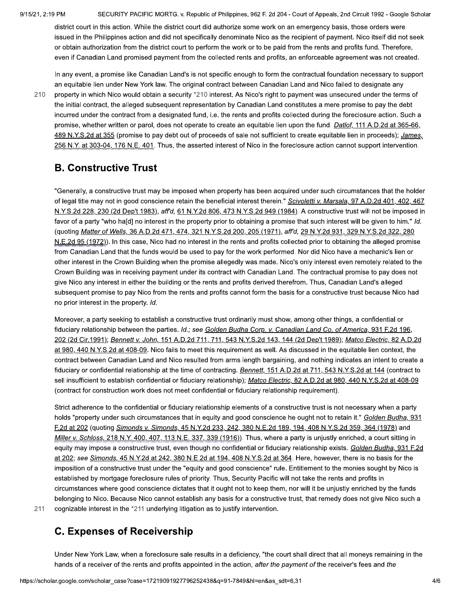SECURITY PACIFIC MORTG. v. Republic of Philippines, 962 F. 2d 204 - Court of Appeals, 2nd Circuit 1992 - Google Scholar

district court in this action. While the district court did authorize some work on an emergency basis, those orders were issued in the Philippines action and did not specifically denominate Nico as the recipient of payment. Nico itself did not seek or obtain authorization from the district court to perform the work or to be paid from the rents and profits fund. Therefore, even if Canadian Land promised payment from the collected rents and profits, an enforceable agreement was not created.

In any event, a promise like Canadian Land's is not specific enough to form the contractual foundation necessary to support an equitable lien under New York law. The original contract between Canadian Land and Nico failed to designate any

210

property in which Nico would obtain a security \*210 interest. As Nico's right to payment was unsecured under the terms of the initial contract, the alleged subsequent representation by Canadian Land constitutes a mere promise to pay the debt incurred under the contract from a designated fund, i.e. the rents and profits collected during the foreclosure action. Such a promise, whether written or parol, does not operate to create an equitable lien upon the fund. Datlof, 111 A.D.2d at 365-66, 489 N.Y.S.2d at 355 (promise to pay debt out of proceeds of sale not sufficient to create equitable lien in proceeds); James, 256 N.Y. at 303-04, 176 N.E. 401. Thus, the asserted interest of Nico in the foreclosure action cannot support intervention.

### **B. Constructive Trust**

"Generally, a constructive trust may be imposed when property has been acquired under such circumstances that the holder of legal title may not in good conscience retain the beneficial interest therein." Scivoletti v. Marsala, 97 A.D.2d 401, 402, 467 N.Y.S.2d 228, 230 (2d Dep't 1983), aff'd, 61 N.Y.2d 806, 473 N.Y.S.2d 949 (1984). A constructive trust will not be imposed in favor of a party "who ha[d] no interest in the property prior to obtaining a promise that such interest will be given to him." Id. (quoting Matter of Wells, 36 A.D.2d 471, 474, 321 N.Y.S.2d 200, 205 (1971), aff'd, 29 N.Y.2d 931, 329 N.Y.S.2d 322, 280 N.E.2d 95 (1972)). In this case, Nico had no interest in the rents and profits collected prior to obtaining the alleged promise from Canadian Land that the funds would be used to pay for the work performed. Nor did Nico have a mechanic's lien or other interest in the Crown Building when the promise allegedly was made. Nico's only interest even remotely related to the Crown Building was in receiving payment under its contract with Canadian Land. The contractual promise to pay does not give Nico any interest in either the building or the rents and profits derived therefrom. Thus, Canadian Land's alleged subsequent promise to pay Nico from the rents and profits cannot form the basis for a constructive trust because Nico had no prior interest in the property. Id.

Moreover, a party seeking to establish a constructive trust ordinarily must show, among other things, a confidential or fiduciary relationship between the parties. Id.; see Golden Budha Corp. v. Canadian Land Co. of America, 931 F.2d 196, 202 (2d Cir.1991); Bennett v. John, 151 A.D.2d 711, 711, 543 N.Y.S.2d 143, 144 (2d Dep't 1989); Matco Electric, 82 A.D.2d at 980, 440 N.Y.S.2d at 408-09. Nico fails to meet this requirement as well. As discussed in the equitable lien context, the contract between Canadian Land and Nico resulted from arms length bargaining, and nothing indicates an intent to create a fiduciary or confidential relationship at the time of contracting. Bennett, 151 A.D.2d at 711, 543 N.Y.S.2d at 144 (contract to sell insufficient to establish confidential or fiduciary relationship); Matco Electric, 82 A.D.2d at 980, 440 N.Y.S.2d at 408-09 (contract for construction work does not meet confidential or fiduciary relationship requirement).

Strict adherence to the confidential or fiduciary relationship elements of a constructive trust is not necessary when a party holds "property under such circumstances that in equity and good conscience he ought not to retain it." Golden Budha, 931 F.2d at 202 (quoting Simonds v. Simonds, 45 N.Y.2d 233, 242, 380 N.E.2d 189, 194, 408 N.Y.S.2d 359, 364 (1978) and Miller v. Schloss, 218 N.Y. 400, 407, 113 N.E. 337, 339 (1916)). Thus, where a party is unjustly enriched, a court sitting in equity may impose a constructive trust, even though no confidential or fiduciary relationship exists. Golden Budha, 931 F.2d at 202; see Simonds, 45 N.Y.2d at 242, 380 N.E.2d at 194, 408 N.Y.S.2d at 364. Here, however, there is no basis for the imposition of a constructive trust under the "equity and good conscience" rule. Entitlement to the monies sought by Nico is established by mortgage foreclosure rules of priority. Thus, Security Pacific will not take the rents and profits in circumstances where good conscience dictates that it ought not to keep them, nor will it be unjustly enriched by the funds belonging to Nico. Because Nico cannot establish any basis for a constructive trust, that remedy does not give Nico such a cognizable interest in the \*211 underlying litigation as to justify intervention.

211

# **C. Expenses of Receivership**

Under New York Law, when a foreclosure sale results in a deficiency, "the court shall direct that all moneys remaining in the hands of a receiver of the rents and profits appointed in the action, after the payment of the receiver's fees and the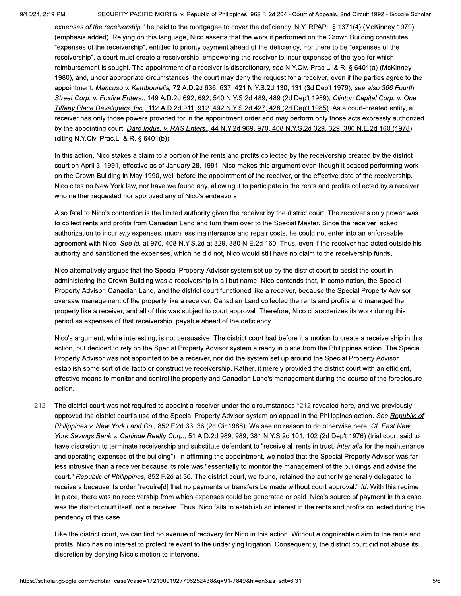SECURITY PACIFIC MORTG. v. Republic of Philippines, 962 F. 2d 204 - Court of Appeals, 2nd Circuit 1992 - Google Scholar

expenses of the receivership," be paid to the mortgagee to cover the deficiency. N.Y. RPAPL § 1371(4) (McKinney 1979) (emphasis added). Relying on this language, Nico asserts that the work it performed on the Crown Building constitutes "expenses of the receivership", entitled to priority payment ahead of the deficiency. For there to be "expenses of the receivership", a court must create a receivership, empowering the receiver to incur expenses of the type for which reimbursement is sought. The appointment of a receiver is discretionary, see N.Y.Civ. Prac.L. & R. § 6401(a) (McKinney 1980), and, under appropriate circumstances, the court may deny the request for a receiver, even if the parties agree to the appointment. Mancuso v. Kambourelis, 72 A.D.2d 636, 637, 421 N.Y.S.2d 130, 131 (3d Dep't 1979); see also 366 Fourth Street Corp. v. Foxfire Enters., 149 A.D.2d 692, 692, 540 N.Y.S.2d 489, 489 (2d Dep't 1989); Clinton Capital Corp. v. One Tiffany Place Developers, Inc., 112 A.D.2d 911, 912, 492 N.Y.S.2d 427, 428 (2d Dep't 1985). As a court-created entity, a receiver has only those powers provided for in the appointment order and may perform only those acts expressly authorized by the appointing court. Daro Indus. v. RAS Enters., 44 N.Y.2d 969, 970, 408 N.Y.S.2d 329, 329, 380 N.E.2d 160 (1978) (citing N.Y.Civ. Prac.L. & R. § 6401(b)).

In this action, Nico stakes a claim to a portion of the rents and profits collected by the receivership created by the district court on April 3, 1991, effective as of January 28, 1991. Nico makes this argument even though it ceased performing work on the Crown Building in May 1990, well before the appointment of the receiver, or the effective date of the receivership. Nico cites no New York law, nor have we found any, allowing it to participate in the rents and profits collected by a receiver who neither requested nor approved any of Nico's endeavors.

Also fatal to Nico's contention is the limited authority given the receiver by the district court. The receiver's only power was to collect rents and profits from Canadian Land and turn them over to the Special Master. Since the receiver lacked authorization to incur any expenses, much less maintenance and repair costs, he could not enter into an enforceable agreement with Nico. See id. at 970, 408 N.Y.S.2d at 329, 380 N.E.2d 160. Thus, even if the receiver had acted outside his authority and sanctioned the expenses, which he did not, Nico would still have no claim to the receivership funds.

Nico alternatively argues that the Special Property Advisor system set up by the district court to assist the court in administering the Crown Building was a receivership in all but name. Nico contends that, in combination, the Special Property Advisor, Canadian Land, and the district court functioned like a receiver, because the Special Property Advisor oversaw management of the property like a receiver, Canadian Land collected the rents and profits and managed the property like a receiver, and all of this was subject to court approval. Therefore, Nico characterizes its work during this period as expenses of that receivership, payable ahead of the deficiency.

Nico's argument, while interesting, is not persuasive. The district court had before it a motion to create a receivership in this action, but decided to rely on the Special Property Advisor system already in place from the Philippines action. The Special Property Advisor was not appointed to be a receiver, nor did the system set up around the Special Property Advisor establish some sort of de facto or constructive receivership. Rather, it merely provided the district court with an efficient, effective means to monitor and control the property and Canadian Land's management during the course of the foreclosure action.

The district court was not required to appoint a receiver under the circumstances \*212 revealed here, and we previously 212 approved the district court's use of the Special Property Advisor system on appeal in the Philippines action. See Republic of Philippines v. New York Land Co., 852 F.2d 33, 36 (2d Cir.1988). We see no reason to do otherwise here. Cf. East New York Savings Bank v. Carlinde Realty Corp., 51 A.D.2d 989, 989, 381 N.Y.S.2d 101, 102 (2d Dep't 1976) (trial court said to have discretion to terminate receivership and substitute defendant to "receive all rents in trust, inter alia for the maintenance and operating expenses of the building"). In affirming the appointment, we noted that the Special Property Advisor was far less intrusive than a receiver because its role was "essentially to monitor the management of the buildings and advise the court." Republic of Philippines, 852 F.2d at 36. The district court, we found, retained the authority generally delegated to receivers because its order "require[d] that no payments or transfers be made without court approval." Id. With this regime in place, there was no receivership from which expenses could be generated or paid. Nico's source of payment in this case was the district court itself, not a receiver. Thus, Nico fails to establish an interest in the rents and profits collected during the pendency of this case.

Like the district court, we can find no avenue of recovery for Nico in this action. Without a cognizable claim to the rents and profits, Nico has no interest to protect relevant to the underlying litigation. Consequently, the district court did not abuse its discretion by denying Nico's motion to intervene.